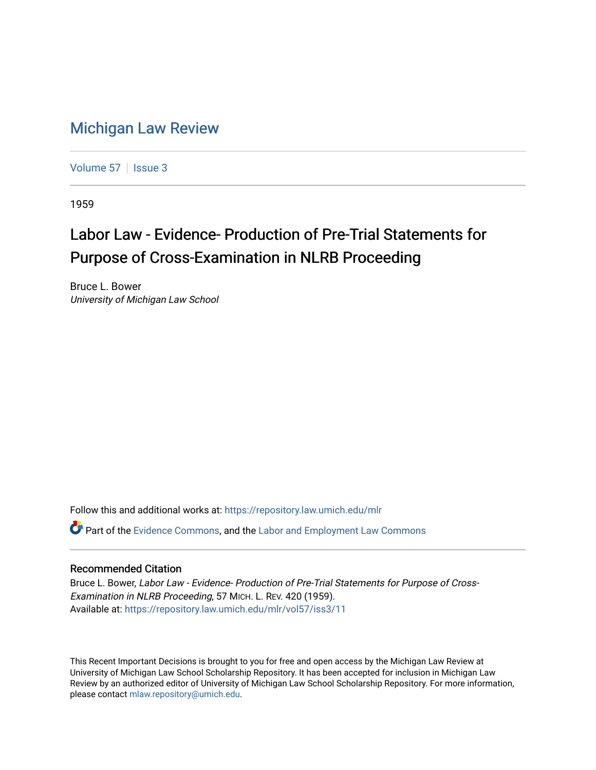## [Michigan Law Review](https://repository.law.umich.edu/mlr)

[Volume 57](https://repository.law.umich.edu/mlr/vol57) | [Issue 3](https://repository.law.umich.edu/mlr/vol57/iss3)

1959

## Labor Law - Evidence- Production of Pre-Trial Statements for Purpose of Cross-Examination in NLRB Proceeding

Bruce L. Bower University of Michigan Law School

Follow this and additional works at: [https://repository.law.umich.edu/mlr](https://repository.law.umich.edu/mlr?utm_source=repository.law.umich.edu%2Fmlr%2Fvol57%2Fiss3%2F11&utm_medium=PDF&utm_campaign=PDFCoverPages) 

Part of the [Evidence Commons,](http://network.bepress.com/hgg/discipline/601?utm_source=repository.law.umich.edu%2Fmlr%2Fvol57%2Fiss3%2F11&utm_medium=PDF&utm_campaign=PDFCoverPages) and the [Labor and Employment Law Commons](http://network.bepress.com/hgg/discipline/909?utm_source=repository.law.umich.edu%2Fmlr%2Fvol57%2Fiss3%2F11&utm_medium=PDF&utm_campaign=PDFCoverPages) 

## Recommended Citation

Bruce L. Bower, Labor Law - Evidence- Production of Pre-Trial Statements for Purpose of Cross-Examination in NLRB Proceeding, 57 MICH. L. REV. 420 (1959). Available at: [https://repository.law.umich.edu/mlr/vol57/iss3/11](https://repository.law.umich.edu/mlr/vol57/iss3/11?utm_source=repository.law.umich.edu%2Fmlr%2Fvol57%2Fiss3%2F11&utm_medium=PDF&utm_campaign=PDFCoverPages) 

This Recent Important Decisions is brought to you for free and open access by the Michigan Law Review at University of Michigan Law School Scholarship Repository. It has been accepted for inclusion in Michigan Law Review by an authorized editor of University of Michigan Law School Scholarship Repository. For more information, please contact [mlaw.repository@umich.edu.](mailto:mlaw.repository@umich.edu)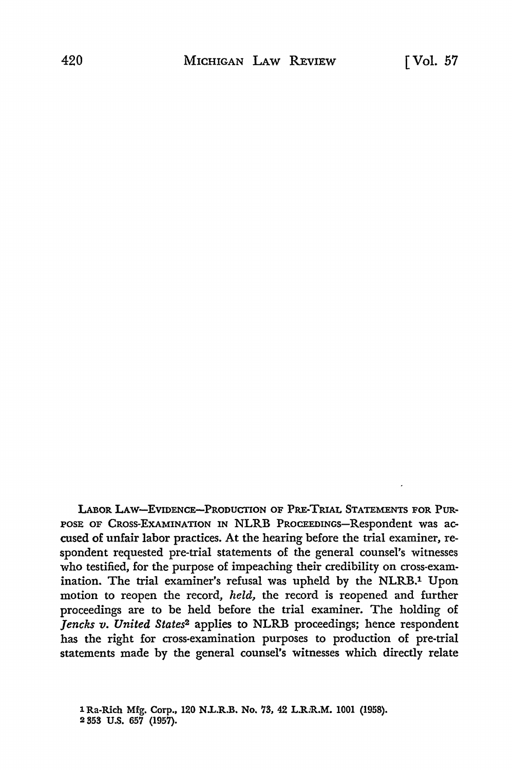LABOR LAW-EVIDENCE-PRODUCTION OF PRE-TRIAL STATEMENTS FOR PUR-POSE OF CROSS-EXAMINATION IN NLRB PROCEEDINGS-Respondent was accused of unfair labor practices. At the hearing before the trial examiner, respondent requested pre-trial statements of the general counsel's witnesses who testified, for the purpose of impeaching their credibility on cross-examination. The trial examiner's refusal was upheld by the NLRB.1 Upon motion to reopen the record, *held,* the record is reopened and further proceedings are to be held before the trial examiner. The holding of *Jencks v. United States*2 applies to NLRB proceedings; hence respondent has the right for cross-examination purposes to production of pre-trial statements made by the general counsel's witnesses which directly relate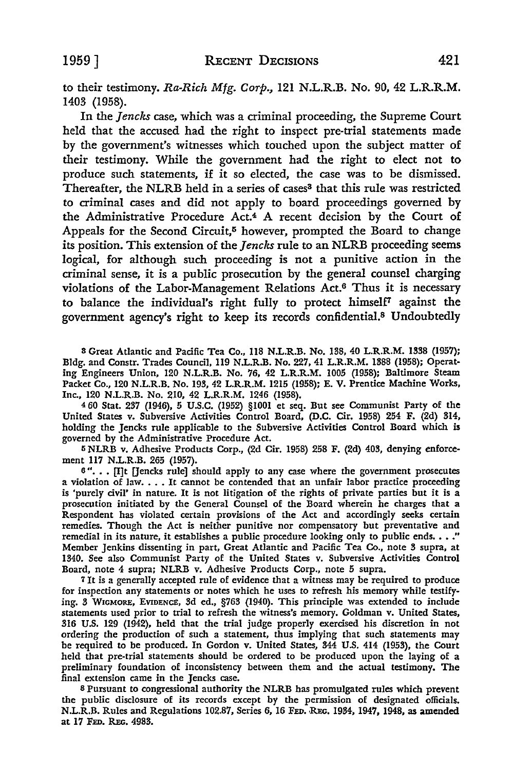to their testimony. Ra-Rich Mfg. *Corp.,* 121 N.L.R.B. No. 90, 42 L.R.R.M. 1403 (1958).

In the *Jencks* case, which was a criminal proceeding, the Supreme Court held that the accused had the right to inspect pre-trial statements made by the government's witnesses which touched upon the subject matter of their testimony. While the government had the right to elect not to produce such statements, if it so elected, the case was to be dismissed. Thereafter, the NLRB held in a series of cases<sup>3</sup> that this rule was restricted to criminal cases and did not apply to board proceedings governed by the Administrative Procedure Act.4 A recent decision by the Court of Appeals for the Second Circuit,<sup>5</sup> however, prompted the Board to change its position. This extension of the *Jencks* rule to an NLRB proceeding seems logical, for although such proceeding is not a punitive action in the criminal sense, it is a public prosecution by the general counsel charging violations of the Labor-Management Relations Act.6 Thus it is necessary to balance the individual's right fully to protect himself<sup>7</sup> against the government agency's right to keep its records confidential.8 Undoubtedly

s Great Atlantic and Pacific Tea Co., 118 N.L.R.B. No. 138, 40 L.R.R.M. 1338 (1957); Bldg. and Constr. Trades Council, 119 N.L.R.B. No. 227, 41 L.R.R.M. 1388 (1958); Operating Engineers Union, 120 N.L.R.B. No. 76, 42 L.R.R.M. 1005 (1958); Baltimore Steam Packet Co., 120 N.L.R.B. No. 193, 42 L.R.R.M. 1215 (1958); E. V. Prentice Machine Works, Inc., 120 N.L.R.B. No. 210, 42 L.R.R.M. 1246 (1958).

<sup>4</sup>60 Stat. 237 (1946), 5 U.S.C. (1952) §1001 et seq. But see Communist Party of **the**  United States v. Subversive Activities Control Board, (D.C. Cir. 1958) 254 F. (2d) 314, holding the Jencks rule applicable to the Subversive Activities Control Board which is governed by the Administrative Procedure Act.

5 NLRB v. Adhesive Products Corp., (2d Cir. 1958) 258 F. (2d) 403, denying enforcement 117 N.L.R.B. 265 (1957).

6"... [I]t [Jencks rule] should apply to any case where the government prosecutes a violation of law.  $\dots$  It cannot be contended that an unfair labor practice proceeding is 'purely civil' in nature. It is not litigation of the rights of private parties but it is a prosecution initiated by the General Counsel of the Board wherein he charges that a Respondent has violated certain provisions of the Act and accordingly seeks certain remedies. Though the Act is neither punitive nor compensatory but preventative and remedial in its nature, it establishes a public procedure looking only to public ends.  $\ldots$ ." Member Jenkins dissenting in part, Great Atlantic and Pacific Tea Co., note 3 supra, at 1340. See also Communist Party of the United States v. Subversive Activities Control Board, note 4 supra; NLRB v. Adhesive Products Corp., note 5 supra.

<sup>7</sup>It is a generally accepted rule of evidence that a witness may be required to produce for inspection any statements or notes which he uses to refresh his memory while testifying. 3 WIGMORE, EVIDENCE, 3d ed., §763 (1940). This principle was extended to include statements used prior to trial to refresh the witness's memory. Goldman v. United States, 316 U.S. 129 (1942), held that the trial judge properly exercised his discretion in not ordering the production of such a statement, thus implying that such statements may be required to be produced. In Gordon v. United States, 344 U.S. 414 (1953), the Court held that pre-trial statements should be ordered to be produced upon the laying of a preliminary foundation of inconsistency between them and the actual testimony. The final extension came in the Jencks case.

s Pursuant to congressional authority the NLRB has promulgated rules which prevent the public disclosure of its records except by the permission of designated officials. N.L.R.B. Rules and Regulations 102.87, Series 6, 16 Fep. Rec. 1934, 1947, 1948, as amended at 17 FED. REG. 4983.